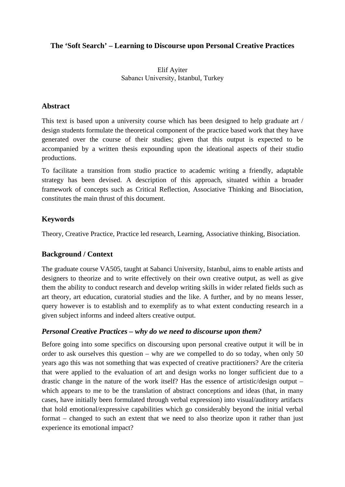#### **The 'Soft Search' – Learning to Discourse upon Personal Creative Practices**

#### Elif Ayiter Sabancı University, Istanbul, Turkey

#### **Abstract**

This text is based upon a university course which has been designed to help graduate art / design students formulate the theoretical component of the practice based work that they have generated over the course of their studies; given that this output is expected to be accompanied by a written thesis expounding upon the ideational aspects of their studio productions.

To facilitate a transition from studio practice to academic writing a friendly, adaptable strategy has been devised. A description of this approach, situated within a broader framework of concepts such as Critical Reflection, Associative Thinking and Bisociation, constitutes the main thrust of this document.

# **Keywords**

Theory, Creative Practice, Practice led research, Learning, Associative thinking, Bisociation.

## **Background / Context**

The graduate course VA505, taught at Sabanci University, Istanbul, aims to enable artists and designers to theorize and to write effectively on their own creative output, as well as give them the ability to conduct research and develop writing skills in wider related fields such as art theory, art education, curatorial studies and the like. A further, and by no means lesser, query however is to establish and to exemplify as to what extent conducting research in a given subject informs and indeed alters creative output.

## *Personal Creative Practices – why do we need to discourse upon them?*

Before going into some specifics on discoursing upon personal creative output it will be in order to ask ourselves this question – why are we compelled to do so today, when only 50 years ago this was not something that was expected of creative practitioners? Are the criteria that were applied to the evaluation of art and design works no longer sufficient due to a drastic change in the nature of the work itself? Has the essence of artistic/design output – which appears to me to be the translation of abstract conceptions and ideas (that, in many cases, have initially been formulated through verbal expression) into visual/auditory artifacts that hold emotional/expressive capabilities which go considerably beyond the initial verbal format – changed to such an extent that we need to also theorize upon it rather than just experience its emotional impact?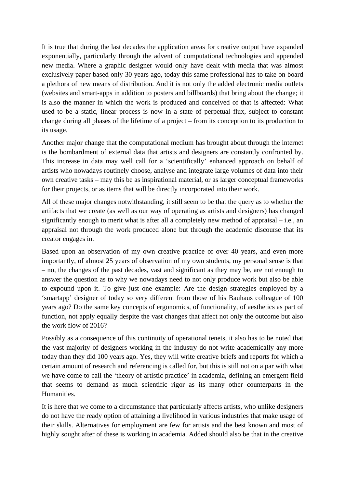It is true that during the last decades the application areas for creative output have expanded exponentially, particularly through the advent of computational technologies and appended new media. Where a graphic designer would only have dealt with media that was almost exclusively paper based only 30 years ago, today this same professional has to take on board a plethora of new means of distribution. And it is not only the added electronic media outlets (websites and smart-apps in addition to posters and billboards) that bring about the change; it is also the manner in which the work is produced and conceived of that is affected: What used to be a static, linear process is now in a state of perpetual flux, subject to constant change during all phases of the lifetime of a project – from its conception to its production to its usage.

Another major change that the computational medium has brought about through the internet is the bombardment of external data that artists and designers are constantly confronted by. This increase in data may well call for a 'scientifically' enhanced approach on behalf of artists who nowadays routinely choose, analyse and integrate large volumes of data into their own creative tasks – may this be as inspirational material, or as larger conceptual frameworks for their projects, or as items that will be directly incorporated into their work.

All of these major changes notwithstanding, it still seem to be that the query as to whether the artifacts that we create (as well as our way of operating as artists and designers) has changed significantly enough to merit what is after all a completely new method of appraisal – i.e., an appraisal not through the work produced alone but through the academic discourse that its creator engages in.

Based upon an observation of my own creative practice of over 40 years, and even more importantly, of almost 25 years of observation of my own students, my personal sense is that – no, the changes of the past decades, vast and significant as they may be, are not enough to answer the question as to why we nowadays need to not only produce work but also be able to expound upon it. To give just one example: Are the design strategies employed by a 'smartapp' designer of today so very different from those of his Bauhaus colleague of 100 years ago? Do the same key concepts of ergonomics, of functionality, of aesthetics as part of function, not apply equally despite the vast changes that affect not only the outcome but also the work flow of 2016?

Possibly as a consequence of this continuity of operational tenets, it also has to be noted that the vast majority of designers working in the industry do not write academically any more today than they did 100 years ago. Yes, they will write creative briefs and reports for which a certain amount of research and referencing is called for, but this is still not on a par with what we have come to call the 'theory of artistic practice' in academia, defining an emergent field that seems to demand as much scientific rigor as its many other counterparts in the Humanities.

It is here that we come to a circumstance that particularly affects artists, who unlike designers do not have the ready option of attaining a livelihood in various industries that make usage of their skills. Alternatives for employment are few for artists and the best known and most of highly sought after of these is working in academia. Added should also be that in the creative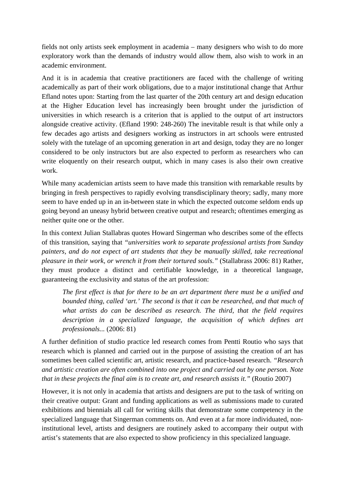fields not only artists seek employment in academia – many designers who wish to do more exploratory work than the demands of industry would allow them, also wish to work in an academic environment.

And it is in academia that creative practitioners are faced with the challenge of writing academically as part of their work obligations, due to a major institutional change that Arthur Efland notes upon: Starting from the last quarter of the 20th century art and design education at the Higher Education level has increasingly been brought under the jurisdiction of universities in which research is a criterion that is applied to the output of art instructors alongside creative activity. (Efland 1990: 248-260) The inevitable result is that while only a few decades ago artists and designers working as instructors in art schools were entrusted solely with the tutelage of an upcoming generation in art and design, today they are no longer considered to be only instructors but are also expected to perform as researchers who can write eloquently on their research output, which in many cases is also their own creative work.

While many academician artists seem to have made this transition with remarkable results by bringing in fresh perspectives to rapidly evolving transdisciplinary theory; sadly, many more seem to have ended up in an in-between state in which the expected outcome seldom ends up going beyond an uneasy hybrid between creative output and research; oftentimes emerging as neither quite one or the other.

In this context Julian Stallabras quotes Howard Singerman who describes some of the effects of this transition, saying that *"universities work to separate professional artists from Sunday painters, and do not expect of art students that they be manually skilled, take recreational pleasure in their work, or wrench it from their tortured souls."* (Stallabrass 2006: 81) Rather, they must produce a distinct and certifiable knowledge, in a theoretical language, guaranteeing the exclusivity and status of the art profession:

*The first effect is that for there to be an art department there must be a unified and bounded thing, called 'art.' The second is that it can be researched, and that much of what artists do can be described as research. The third, that the field requires description in a specialized language, the acquisition of which defines art professionals...* (2006: 81)

A further definition of studio practice led research comes from Pentti Routio who says that research which is planned and carried out in the purpose of assisting the creation of art has sometimes been called scientific art, artistic research, and practice-based research. *"Research and artistic creation are often combined into one project and carried out by one person. Note that in these projects the final aim is to create art, and research assists it."* (Routio 2007)

However, it is not only in academia that artists and designers are put to the task of writing on their creative output: Grant and funding applications as well as submissions made to curated exhibitions and biennials all call for writing skills that demonstrate some competency in the specialized language that Singerman comments on. And even at a far more individuated, noninstitutional level, artists and designers are routinely asked to accompany their output with artist's statements that are also expected to show proficiency in this specialized language.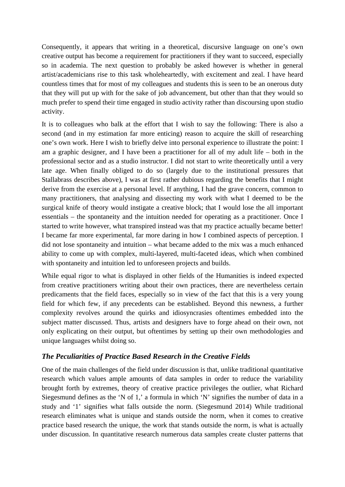Consequently, it appears that writing in a theoretical, discursive language on one's own creative output has become a requirement for practitioners if they want to succeed, especially so in academia. The next question to probably be asked however is whether in general artist/academicians rise to this task wholeheartedly, with excitement and zeal. I have heard countless times that for most of my colleagues and students this is seen to be an onerous duty that they will put up with for the sake of job advancement, but other than that they would so much prefer to spend their time engaged in studio activity rather than discoursing upon studio activity.

It is to colleagues who balk at the effort that I wish to say the following: There is also a second (and in my estimation far more enticing) reason to acquire the skill of researching one's own work. Here I wish to briefly delve into personal experience to illustrate the point: I am a graphic designer, and I have been a practitioner for all of my adult life – both in the professional sector and as a studio instructor. I did not start to write theoretically until a very late age. When finally obliged to do so (largely due to the institutional pressures that Stallabrass describes above), I was at first rather dubious regarding the benefits that I might derive from the exercise at a personal level. If anything, I had the grave concern, common to many practitioners, that analysing and dissecting my work with what I deemed to be the surgical knife of theory would instigate a creative block; that I would lose the all important essentials – the spontaneity and the intuition needed for operating as a practitioner. Once I started to write however, what transpired instead was that my practice actually became better! I became far more experimental, far more daring in how I combined aspects of perception. I did not lose spontaneity and intuition – what became added to the mix was a much enhanced ability to come up with complex, multi-layered, multi-faceted ideas, which when combined with spontaneity and intuition led to unforeseen projects and builds.

While equal rigor to what is displayed in other fields of the Humanities is indeed expected from creative practitioners writing about their own practices, there are nevertheless certain predicaments that the field faces, especially so in view of the fact that this is a very young field for which few, if any precedents can be established. Beyond this newness, a further complexity revolves around the quirks and idiosyncrasies oftentimes embedded into the subject matter discussed. Thus, artists and designers have to forge ahead on their own, not only explicating on their output, but oftentimes by setting up their own methodologies and unique languages whilst doing so.

## *The Peculiarities of Practice Based Research in the Creative Fields*

One of the main challenges of the field under discussion is that, unlike traditional quantitative research which values ample amounts of data samples in order to reduce the variability brought forth by extremes, theory of creative practice privileges the outlier, what Richard Siegesmund defines as the 'N of 1,' a formula in which 'N' signifies the number of data in a study and '1' signifies what falls outside the norm. (Siegesmund 2014) While traditional research eliminates what is unique and stands outside the norm, when it comes to creative practice based research the unique, the work that stands outside the norm, is what is actually under discussion. In quantitative research numerous data samples create cluster patterns that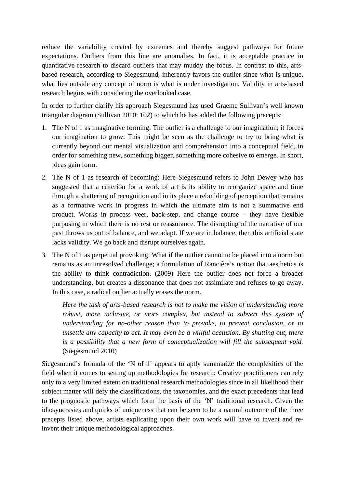reduce the variability created by extremes and thereby suggest pathways for future expectations. Outliers from this line are anomalies. In fact, it is acceptable practice in quantitative research to discard outliers that may muddy the focus. In contrast to this, artsbased research, according to Siegesmund, inherently favors the outlier since what is unique, what lies outside any concept of norm is what is under investigation. Validity in arts-based research begins with considering the overlooked case.

In order to further clarify his approach Siegesmund has used Graeme Sullivan's well known triangular diagram (Sullivan 2010: 102) to which he has added the following precepts:

- 1. The N of 1 as imaginative forming: The outlier is a challenge to our imagination; it forces our imagination to grow. This might be seen as the challenge to try to bring what is currently beyond our mental visualization and comprehension into a conceptual field, in order for something new, something bigger, something more cohesive to emerge. In short, ideas gain form.
- 2. The N of 1 as research of becoming: Here Siegesmund refers to John Dewey who has suggested that a criterion for a work of art is its ability to reorganize space and time through a shattering of recognition and in its place a rebuilding of perception that remains as a formative work in progress in which the ultimate aim is not a summative end product. Works in process veer, back-step, and change course – they have flexible purposing in which there is no rest or reassurance. The disrupting of the narrative of our past throws us out of balance, and we adapt. If we are in balance, then this artificial state lacks validity. We go back and disrupt ourselves again.
- 3. The N of 1 as perpetual provoking: What if the outlier cannot to be placed into a norm but remains as an unresolved challenge; a formulation of Rancière's notion that aesthetics is the ability to think contradiction. (2009) Here the outlier does not force a broader understanding, but creates a dissonance that does not assimilate and refuses to go away. In this case, a radical outlier actually erases the norm.

*Here the task of arts-based research is not to make the vision of understanding more robust, more inclusive, or more complex, but instead to subvert this system of understanding for no-other reason than to provoke, to prevent conclusion, or to unsettle any capacity to act. It may even be a willful occlusion. By shutting out, there is a possibility that a new form of conceptualization will fill the subsequent void.* (Siegesmund 2010)

Siegesmund's formula of the 'N of 1' appears to aptly summarize the complexities of the field when it comes to setting up methodologies for research: Creative practitioners can rely only to a very limited extent on traditional research methodologies since in all likelihood their subject matter will defy the classifications, the taxonomies, and the exact precedents that lead to the prognostic pathways which form the basis of the 'N' traditional research. Given the idiosyncrasies and quirks of uniqueness that can be seen to be a natural outcome of the three precepts listed above, artists explicating upon their own work will have to invent and reinvent their unique methodological approaches.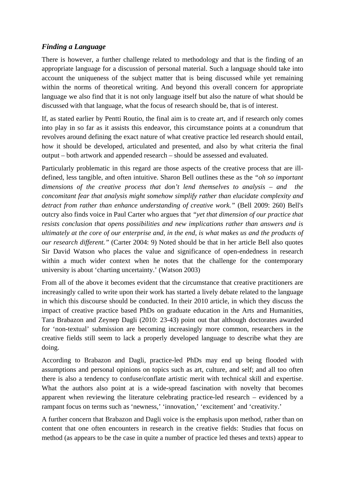## *Finding a Language*

There is however, a further challenge related to methodology and that is the finding of an appropriate language for a discussion of personal material. Such a language should take into account the uniqueness of the subject matter that is being discussed while yet remaining within the norms of theoretical writing. And beyond this overall concern for appropriate language we also find that it is not only language itself but also the nature of what should be discussed with that language, what the focus of research should be, that is of interest.

If, as stated earlier by Pentti Routio, the final aim is to create art, and if research only comes into play in so far as it assists this endeavor, this circumstance points at a conundrum that revolves around defining the exact nature of what creative practice led research should entail, how it should be developed, articulated and presented, and also by what criteria the final output – both artwork and appended research – should be assessed and evaluated.

Particularly problematic in this regard are those aspects of the creative process that are illdefined, less tangible, and often intuitive. Sharon Bell outlines these as the *"oh so important dimensions of the creative process that don't lend themselves to analysis – and the concomitant fear that analysis might somehow simplify rather than elucidate complexity and detract from rather than enhance understanding of creative work."* (Bell 2009: 260) Bell's outcry also finds voice in Paul Carter who argues that *"yet that dimension of our practice that resists conclusion that opens possibilities and new implications rather than answers and is ultimately at the core of our enterprise and, in the end, is what makes us and the products of our research different."* (Carter 2004: 9) Noted should be that in her article Bell also quotes Sir David Watson who places the value and significance of open-endedness in research within a much wider context when he notes that the challenge for the contemporary university is about 'charting uncertainty.' (Watson 2003)

From all of the above it becomes evident that the circumstance that creative practitioners are increasingly called to write upon their work has started a lively debate related to the language in which this discourse should be conducted. In their 2010 article, in which they discuss the impact of creative practice based PhDs on graduate education in the Arts and Humanities, Tara Brabazon and Zeynep Dagli (2010: 23-43) point out that although doctorates awarded for 'non-textual' submission are becoming increasingly more common, researchers in the creative fields still seem to lack a properly developed language to describe what they are doing.

According to Brabazon and Dagli, practice-led PhDs may end up being flooded with assumptions and personal opinions on topics such as art, culture, and self; and all too often there is also a tendency to confuse/conflate artistic merit with technical skill and expertise. What the authors also point at is a wide-spread fascination with novelty that becomes apparent when reviewing the literature celebrating practice-led research – evidenced by a rampant focus on terms such as 'newness,' 'innovation,' 'excitement' and 'creativity.'

A further concern that Brabazon and Dagli voice is the emphasis upon method, rather than on content that one often encounters in research in the creative fields: Studies that focus on method (as appears to be the case in quite a number of practice led theses and texts) appear to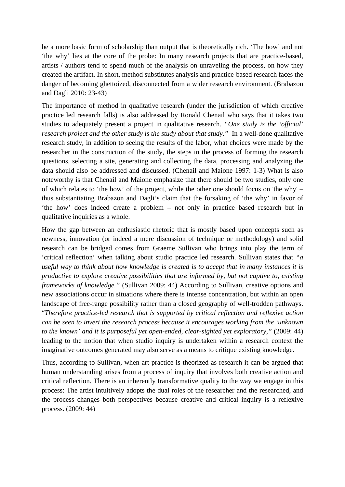be a more basic form of scholarship than output that is theoretically rich. 'The how' and not 'the why' lies at the core of the probe: In many research projects that are practice-based, artists / authors tend to spend much of the analysis on unraveling the process, on how they created the artifact. In short, method substitutes analysis and practice-based research faces the danger of becoming ghettoized, disconnected from a wider research environment. (Brabazon and Dagli 2010: 23-43)

The importance of method in qualitative research (under the jurisdiction of which creative practice led research falls) is also addressed by Ronald Chenail who says that it takes two studies to adequately present a project in qualitative research. *"One study is the 'official' research project and the other study is the study about that study."* In a well-done qualitative research study, in addition to seeing the results of the labor, what choices were made by the researcher in the construction of the study, the steps in the process of forming the research questions, selecting a site, generating and collecting the data, processing and analyzing the data should also be addressed and discussed. (Chenail and Maione 1997: 1-3) What is also noteworthy is that Chenail and Maione emphasize that there should be two studies, only one of which relates to 'the how' of the project, while the other one should focus on 'the why' – thus substantiating Brabazon and Dagli's claim that the forsaking of 'the why' in favor of 'the how' does indeed create a problem – not only in practice based research but in qualitative inquiries as a whole.

How the gap between an enthusiastic rhetoric that is mostly based upon concepts such as newness, innovation (or indeed a mere discussion of technique or methodology) and solid research can be bridged comes from Graeme Sullivan who brings into play the term of 'critical reflection' when talking about studio practice led research. Sullivan states that *"a useful way to think about how knowledge is created is to accept that in many instances it is productive to explore creative possibilities that are informed by, but not captive to, existing frameworks of knowledge."* (Sullivan 2009: 44) According to Sullivan, creative options and new associations occur in situations where there is intense concentration, but within an open landscape of free-range possibility rather than a closed geography of well-trodden pathways. "*Therefore practice-led research that is supported by critical reflection and reflexive action can be seen to invert the research process because it encourages working from the 'unknown to the known' and it is purposeful yet open-ended, clear-sighted yet exploratory,"* (2009: 44) leading to the notion that when studio inquiry is undertaken within a research context the imaginative outcomes generated may also serve as a means to critique existing knowledge.

Thus, according to Sullivan, when art practice is theorized as research it can be argued that human understanding arises from a process of inquiry that involves both creative action and critical reflection. There is an inherently transformative quality to the way we engage in this process: The artist intuitively adopts the dual roles of the researcher and the researched, and the process changes both perspectives because creative and critical inquiry is a reflexive process. (2009: 44)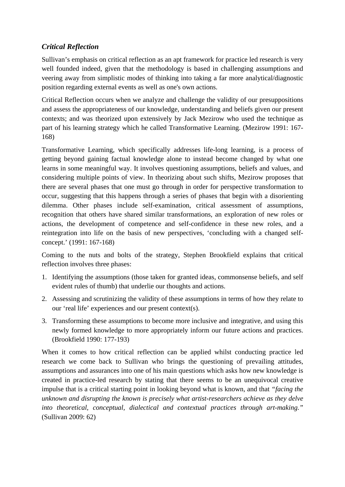# *Critical Reflection*

Sullivan's emphasis on critical reflection as an apt framework for practice led research is very well founded indeed, given that the methodology is based in challenging assumptions and veering away from simplistic modes of thinking into taking a far more analytical/diagnostic position regarding external events as well as one's own actions.

Critical Reflection occurs when we analyze and challenge the validity of our presuppositions and assess the appropriateness of our knowledge, understanding and beliefs given our present contexts; and was theorized upon extensively by Jack Mezirow who used the technique as part of his learning strategy which he called Transformative Learning. (Mezirow 1991: 167- 168)

Transformative Learning, which specifically addresses life-long learning, is a process of getting beyond gaining factual knowledge alone to instead become changed by what one learns in some meaningful way. It involves questioning assumptions, beliefs and values, and considering multiple points of view. In theorizing about such shifts, Mezirow proposes that there are several phases that one must go through in order for perspective transformation to occur, suggesting that this happens through a series of phases that begin with a disorienting dilemma. Other phases include self-examination, critical assessment of assumptions, recognition that others have shared similar transformations, an exploration of new roles or actions, the development of competence and self-confidence in these new roles, and a reintegration into life on the basis of new perspectives, 'concluding with a changed selfconcept.' (1991: 167-168)

Coming to the nuts and bolts of the strategy, Stephen Brookfield explains that critical reflection involves three phases:

- 1. Identifying the assumptions (those taken for granted ideas, commonsense beliefs, and self evident rules of thumb) that underlie our thoughts and actions.
- 2. Assessing and scrutinizing the validity of these assumptions in terms of how they relate to our 'real life' experiences and our present context(s).
- 3. Transforming these assumptions to become more inclusive and integrative, and using this newly formed knowledge to more appropriately inform our future actions and practices. (Brookfield 1990: 177-193)

When it comes to how critical reflection can be applied whilst conducting practice led research we come back to Sullivan who brings the questioning of prevailing attitudes, assumptions and assurances into one of his main questions which asks how new knowledge is created in practice-led research by stating that there seems to be an unequivocal creative impulse that is a critical starting point in looking beyond what is known, and that *"facing the unknown and disrupting the known is precisely what artist-researchers achieve as they delve into theoretical, conceptual, dialectical and contextual practices through art-making."* (Sullivan 2009: 62)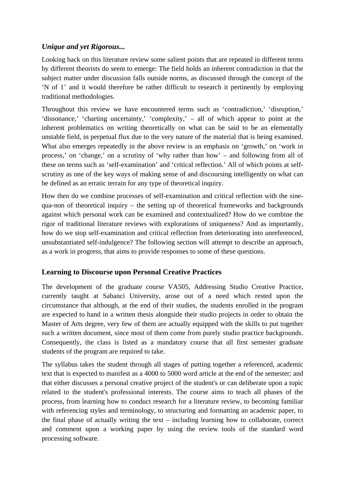## *Unique and yet Rigorous...*

Looking back on this literature review some salient points that are repeated in different terms by different theorists do seem to emerge: The field holds an inherent contradiction in that the subject matter under discussion falls outside norms, as discussed through the concept of the 'N of 1' and it would therefore be rather difficult to research it pertinently by employing traditional methodologies.

Throughout this review we have encountered terms such as 'contradiction,' 'disruption,' 'dissonance,' 'charting uncertainty,' 'complexity,' – all of which appear to point at the inherent problematics on writing theoretically on what can be said to be an elementally unstable field, in perpetual flux due to the very nature of the material that is being examined. What also emerges repeatedly in the above review is an emphasis on 'growth,' on 'work in process,' on 'change,' on a scrutiny of 'why rather than how' – and following from all of these on terms such as 'self-examination' and 'critical reflection.' All of which points at selfscrutiny as one of the key ways of making sense of and discoursing intelligently on what can be defined as an erratic terrain for any type of theoretical inquiry.

How then do we combine processes of self-examination and critical reflection with the sinequa-non of theoretical inquiry – the setting up of theoretical frameworks and backgrounds against which personal work can be examined and contextualized? How do we combine the rigor of traditional literature reviews with explorations of uniqueness? And as importantly, how do we stop self-examination and critical reflection from deteriorating into unreferenced, unsubstantiated self-indulgence? The following section will attempt to describe an approach, as a work in progress, that aims to provide responses to some of these questions.

## **Learning to Discourse upon Personal Creative Practices**

The development of the graduate course VA505, Addressing Studio Creative Practice, currently taught at Sabanci University, arose out of a need which rested upon the circumstance that although, at the end of their studies, the students enrolled in the program are expected to hand in a written thesis alongside their studio projects in order to obtain the Master of Arts degree, very few of them are actually equipped with the skills to put together such a written document, since most of them come from purely studio practice backgrounds. Consequently, the class is listed as a mandatory course that all first semester graduate students of the program are required to take.

The syllabus takes the student through all stages of putting together a referenced, academic text that is expected to manifest as a 4000 to 5000 word article at the end of the semester; and that either discusses a personal creative project of the student's or can deliberate upon a topic related to the student's professional interests. The course aims to teach all phases of the process, from learning how to conduct research for a literature review, to becoming familiar with referencing styles and terminology, to structuring and formatting an academic paper, to the final phase of actually writing the text – including learning how to collaborate, correct and comment upon a working paper by using the review tools of the standard word processing software.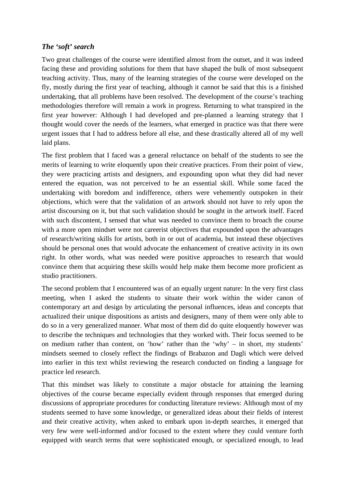## *The 'soft' search*

Two great challenges of the course were identified almost from the outset, and it was indeed facing these and providing solutions for them that have shaped the bulk of most subsequent teaching activity. Thus, many of the learning strategies of the course were developed on the fly, mostly during the first year of teaching, although it cannot be said that this is a finished undertaking, that all problems have been resolved. The development of the course's teaching methodologies therefore will remain a work in progress. Returning to what transpired in the first year however: Although I had developed and pre-planned a learning strategy that I thought would cover the needs of the learners, what emerged in practice was that there were urgent issues that I had to address before all else, and these drastically altered all of my well laid plans.

The first problem that I faced was a general reluctance on behalf of the students to see the merits of learning to write eloquently upon their creative practices. From their point of view, they were practicing artists and designers, and expounding upon what they did had never entered the equation, was not perceived to be an essential skill. While some faced the undertaking with boredom and indifference, others were vehemently outspoken in their objections, which were that the validation of an artwork should not have to rely upon the artist discoursing on it, but that such validation should be sought in the artwork itself. Faced with such discontent, I sensed that what was needed to convince them to broach the course with a more open mindset were not careerist objectives that expounded upon the advantages of research/writing skills for artists, both in or out of academia, but instead these objectives should be personal ones that would advocate the enhancement of creative activity in its own right. In other words, what was needed were positive approaches to research that would convince them that acquiring these skills would help make them become more proficient as studio practitioners.

The second problem that I encountered was of an equally urgent nature: In the very first class meeting, when I asked the students to situate their work within the wider canon of contemporary art and design by articulating the personal influences, ideas and concepts that actualized their unique dispositions as artists and designers, many of them were only able to do so in a very generalized manner. What most of them did do quite eloquently however was to describe the techniques and technologies that they worked with. Their focus seemed to be on medium rather than content, on 'how' rather than the 'why' – in short, my students' mindsets seemed to closely reflect the findings of Brabazon and Dagli which were delved into earlier in this text whilst reviewing the research conducted on finding a language for practice led research.

That this mindset was likely to constitute a major obstacle for attaining the learning objectives of the course became especially evident through responses that emerged during discussions of appropriate procedures for conducting literature reviews: Although most of my students seemed to have some knowledge, or generalized ideas about their fields of interest and their creative activity, when asked to embark upon in-depth searches, it emerged that very few were well-informed and/or focused to the extent where they could venture forth equipped with search terms that were sophisticated enough, or specialized enough, to lead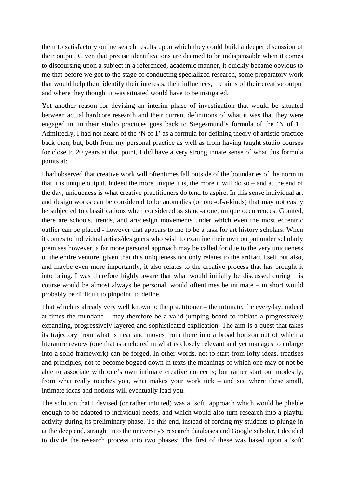them to satisfactory online search results upon which they could build a deeper discussion of their output. Given that precise identifications are deemed to be indispensable when it comes to discoursing upon a subject in a referenced, academic manner, it quickly became obvious to me that before we got to the stage of conducting specialized research, some preparatory work that would help them identify their interests, their influences, the aims of their creative output and where they thought it was situated would have to be instigated.

Yet another reason for devising an interim phase of investigation that would be situated between actual hardcore research and their current definitions of what it was that they were engaged in, in their studio practices goes back to Siegesmund's formula of the 'N of 1.' Admittedly, I had not heard of the 'N of 1' as a formula for defining theory of artistic practice back then; but, both from my personal practice as well as from having taught studio courses for close to 20 years at that point, I did have a very strong innate sense of what this formula points at:

I had observed that creative work will oftentimes fall outside of the boundaries of the norm in that it is unique output. Indeed the more unique it is, the more it will do so – and at the end of the day, uniqueness is what creative practitioners do tend to aspire. In this sense individual art and design works can be considered to be anomalies (or one-of-a-kinds) that may not easily be subjected to classifications when considered as stand-alone, unique occurrences. Granted, there are schools, trends, and art/design movements under which even the most eccentric outlier can be placed - however that appears to me to be a task for art history scholars. When it comes to individual artists/designers who wish to examine their own output under scholarly premises however, a far more personal approach may be called for due to the very uniqueness of the entire venture, given that this uniqueness not only relates to the artifact itself but also, and maybe even more importantly, it also relates to the creative process that has brought it into being. I was therefore highly aware that what would initially be discussed during this course would be almost always be personal, would oftentimes be intimate – in short would probably be difficult to pinpoint, to define.

That which is already very well known to the practitioner – the intimate, the everyday, indeed at times the mundane – may therefore be a valid jumping board to initiate a progressively expanding, progressively layered and sophisticated explication. The aim is a quest that takes its trajectory from what is near and moves from there into a broad horizon out of which a literature review (one that is anchored in what is closely relevant and yet manages to enlarge into a solid framework) can be forged. In other words, not to start from lofty ideas, treatises and principles, not to become bogged down in texts the meanings of which one may or not be able to associate with one's own intimate creative concerns; but rather start out modestly, from what really touches you, what makes your work tick – and see where these small, intimate ideas and notions will eventually lead you.

The solution that I devised (or rather intuited) was a 'soft' approach which would be pliable enough to be adapted to individual needs, and which would also turn research into a playful activity during its preliminary phase. To this end, instead of forcing my students to plunge in at the deep end, straight into the university's research databases and Google scholar, I decided to divide the research process into two phases: The first of these was based upon a 'soft'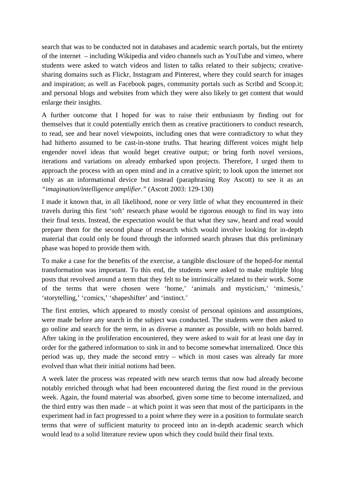search that was to be conducted not in databases and academic search portals, but the entirety of the internet – including Wikipedia and video channels such as YouTube and vimeo, where students were asked to watch videos and listen to talks related to their subjects; creativesharing domains such as Flickr, Instagram and Pinterest, where they could search for images and inspiration; as well as Facebook pages, community portals such as Scribd and Scoop.it; and personal blogs and websites from which they were also likely to get content that would enlarge their insights.

A further outcome that I hoped for was to raise their enthusiasm by finding out for themselves that it could potentially enrich them as creative practitioners to conduct research, to read, see and hear novel viewpoints, including ones that were contradictory to what they had hitherto assumed to be cast-in-stone truths. That hearing different voices might help engender novel ideas that would beget creative output; or bring forth novel versions, iterations and variations on already embarked upon projects. Therefore, I urged them to approach the process with an open mind and in a creative spirit; to look upon the internet not only as an informational device but instead (paraphrasing Roy Ascott) to see it as an *"imagination/intelligence amplifier."* (Ascott 2003: 129-130)

I made it known that, in all likelihood, none or very little of what they encountered in their travels during this first 'soft' research phase would be rigorous enough to find its way into their final texts. Instead, the expectation would be that what they saw, heard and read would prepare them for the second phase of research which would involve looking for in-depth material that could only be found through the informed search phrases that this preliminary phase was hoped to provide them with.

To make a case for the benefits of the exercise, a tangible disclosure of the hoped-for mental transformation was important. To this end, the students were asked to make multiple blog posts that revolved around a term that they felt to be intrinsically related to their work. Some of the terms that were chosen were 'home,' 'animals and mysticism,' 'mimesis,' 'storytelling,' 'comics,' 'shapeshifter' and 'instinct.'

The first entries, which appeared to mostly consist of personal opinions and assumptions, were made before any search in the subject was conducted. The students were then asked to go online and search for the term, in as diverse a manner as possible, with no holds barred. After taking in the proliferation encountered, they were asked to wait for at least one day in order for the gathered information to sink in and to become somewhat internalized. Once this period was up, they made the second entry – which in most cases was already far more evolved than what their initial notions had been.

A week later the process was repeated with new search terms that now had already become notably enriched through what had been encountered during the first round in the previous week. Again, the found material was absorbed, given some time to become internalized, and the third entry was then made – at which point it was seen that most of the participants in the experiment had in fact progressed to a point where they were in a position to formulate search terms that were of sufficient maturity to proceed into an in-depth academic search which would lead to a solid literature review upon which they could build their final texts.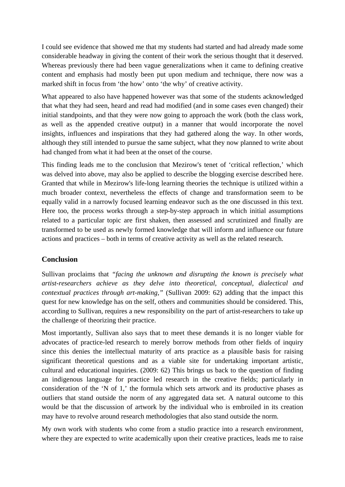I could see evidence that showed me that my students had started and had already made some considerable headway in giving the content of their work the serious thought that it deserved. Whereas previously there had been vague generalizations when it came to defining creative content and emphasis had mostly been put upon medium and technique, there now was a marked shift in focus from 'the how' onto 'the why' of creative activity.

What appeared to also have happened however was that some of the students acknowledged that what they had seen, heard and read had modified (and in some cases even changed) their initial standpoints, and that they were now going to approach the work (both the class work, as well as the appended creative output) in a manner that would incorporate the novel insights, influences and inspirations that they had gathered along the way. In other words, although they still intended to pursue the same subject, what they now planned to write about had changed from what it had been at the onset of the course.

This finding leads me to the conclusion that Mezirow's tenet of 'critical reflection,' which was delved into above, may also be applied to describe the blogging exercise described here. Granted that while in Mezirow's life-long learning theories the technique is utilized within a much broader context, nevertheless the effects of change and transformation seem to be equally valid in a narrowly focused learning endeavor such as the one discussed in this text. Here too, the process works through a step-by-step approach in which initial assumptions related to a particular topic are first shaken, then assessed and scrutinized and finally are transformed to be used as newly formed knowledge that will inform and influence our future actions and practices – both in terms of creative activity as well as the related research.

#### **Conclusion**

Sullivan proclaims that *"facing the unknown and disrupting the known is precisely what artist-researchers achieve as they delve into theoretical, conceptual, dialectical and contextual practices through art-making,"* (Sullivan 2009: 62) adding that the impact this quest for new knowledge has on the self, others and communities should be considered. This, according to Sullivan, requires a new responsibility on the part of artist-researchers to take up the challenge of theorizing their practice.

Most importantly, Sullivan also says that to meet these demands it is no longer viable for advocates of practice-led research to merely borrow methods from other fields of inquiry since this denies the intellectual maturity of arts practice as a plausible basis for raising significant theoretical questions and as a viable site for undertaking important artistic, cultural and educational inquiries. (2009: 62) This brings us back to the question of finding an indigenous language for practice led research in the creative fields; particularly in consideration of the 'N of 1,' the formula which sets artwork and its productive phases as outliers that stand outside the norm of any aggregated data set. A natural outcome to this would be that the discussion of artwork by the individual who is embroiled in its creation may have to revolve around research methodologies that also stand outside the norm.

My own work with students who come from a studio practice into a research environment, where they are expected to write academically upon their creative practices, leads me to raise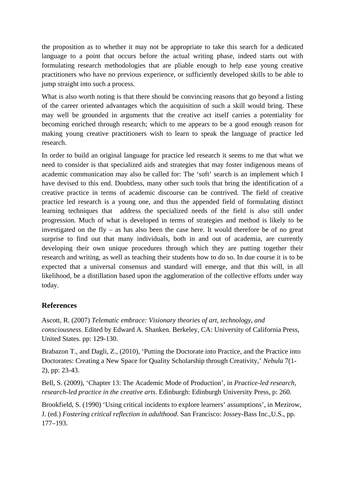the proposition as to whether it may not be appropriate to take this search for a dedicated language to a point that occurs before the actual writing phase, indeed starts out with formulating research methodologies that are pliable enough to help ease young creative practitioners who have no previous experience, or sufficiently developed skills to be able to jump straight into such a process.

What is also worth noting is that there should be convincing reasons that go beyond a listing of the career oriented advantages which the acquisition of such a skill would bring. These may well be grounded in arguments that the creative act itself carries a potentiality for becoming enriched through research; which to me appears to be a good enough reason for making young creative practitioners wish to learn to speak the language of practice led research.

In order to build an original language for practice led research it seems to me that what we need to consider is that specialized aids and strategies that may foster indigenous means of academic communication may also be called for: The 'soft' search is an implement which I have devised to this end. Doubtless, many other such tools that bring the identification of a creative practice in terms of academic discourse can be contrived. The field of creative practice led research is a young one, and thus the appended field of formulating distinct learning techniques that address the specialized needs of the field is also still under progression. Much of what is developed in terms of strategies and method is likely to be investigated on the fly – as has also been the case here. It would therefore be of no great surprise to find out that many individuals, both in and out of academia, are currently developing their own unique procedures through which they are putting together their research and writing, as well as teaching their students how to do so. In due course it is to be expected that a universal consensus and standard will emerge, and that this will, in all likelihood, be a distillation based upon the agglomeration of the collective efforts under way today.

## **References**

Ascott, R. (2007) *Telematic embrace: Visionary theories of art, technology, and consciousness*. Edited by Edward A. Shanken. Berkeley, CA: University of California Press, United States. pp: 129-130.

Brabazon T., and Dagli, Z., (2010), 'Putting the Doctorate into Practice, and the Practice into Doctorates: Creating a New Space for Quality Scholarship through Creativity,' *Nebula* 7(1- 2), pp: 23-43.

Bell, S. (2009), 'Chapter 13: The Academic Mode of Production', in *Practice-led research, research-led practice in the creative arts*. Edinburgh: Edinburgh University Press, p: 260.

Brookfield, S. (1990) 'Using critical incidents to explore learners' assumptions', in Mezirow, J. (ed.) *Fostering critical reflection in adulthood*. San Francisco: Jossey-Bass Inc.,U.S., pp. 177–193.